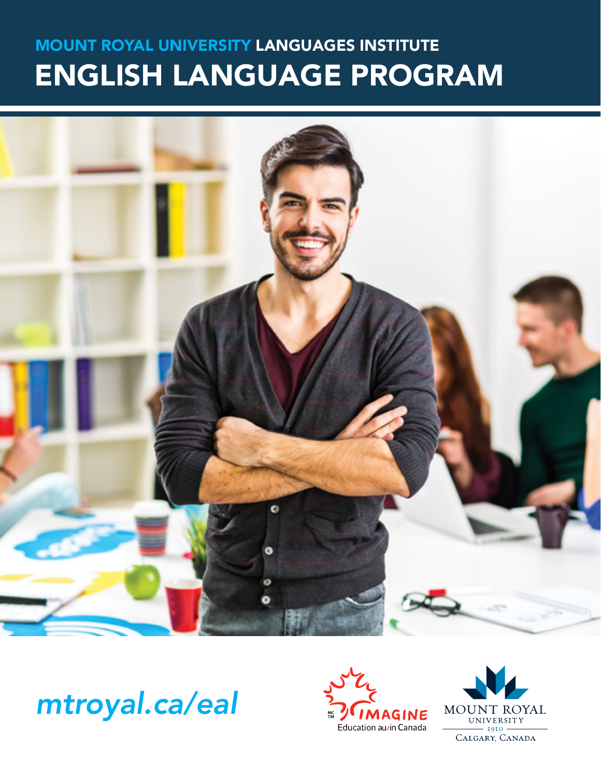# MOUNT ROYAL UNIVERSITY LANGUAGES INSTITUTE ENGLISH LANGUAGE PROGRAM



*mtroyal.ca/eal*



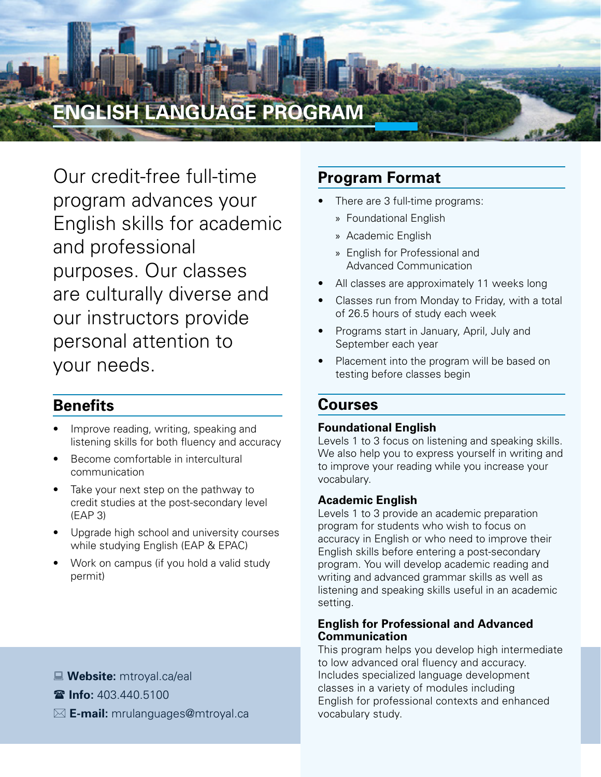

Our credit-free full-time program advances your English skills for academic and professional purposes. Our classes are culturally diverse and our instructors provide personal attention to your needs.

### **Benefits**

- Improve reading, writing, speaking and listening skills for both fluency and accuracy
- Become comfortable in intercultural communication
- Take your next step on the pathway to credit studies at the post-secondary level (EAP 3)
- Upgrade high school and university courses while studying English (EAP & EPAC)
- Work on campus (if you hold a valid study permit)

# There are 3 full-time programs:

- » Foundational English
- » Academic English

**Program Format**

- » English for Professional and Advanced Communication
- All classes are approximately 11 weeks long
- Classes run from Monday to Friday, with a total of 26.5 hours of study each week
- Programs start in January, April, July and September each year
- Placement into the program will be based on testing before classes begin

### **Courses**

#### **Foundational English**

Levels 1 to 3 focus on listening and speaking skills. We also help you to express yourself in writing and to improve your reading while you increase your vocabulary.

#### **Academic English**

Levels 1 to 3 provide an academic preparation program for students who wish to focus on accuracy in English or who need to improve their English skills before entering a post-secondary program. You will develop academic reading and writing and advanced grammar skills as well as listening and speaking skills useful in an academic setting.

#### **English for Professional and Advanced Communication**

This program helps you develop high intermediate to low advanced oral fluency and accuracy. Includes specialized language development classes in a variety of modules including English for professional contexts and enhanced vocabulary study.

- : **Website:** mtroyal.ca/eal
- ( **Info:** 403.440.5100
- $✓$  **E-mail:** mrulanguages@mtroyal.ca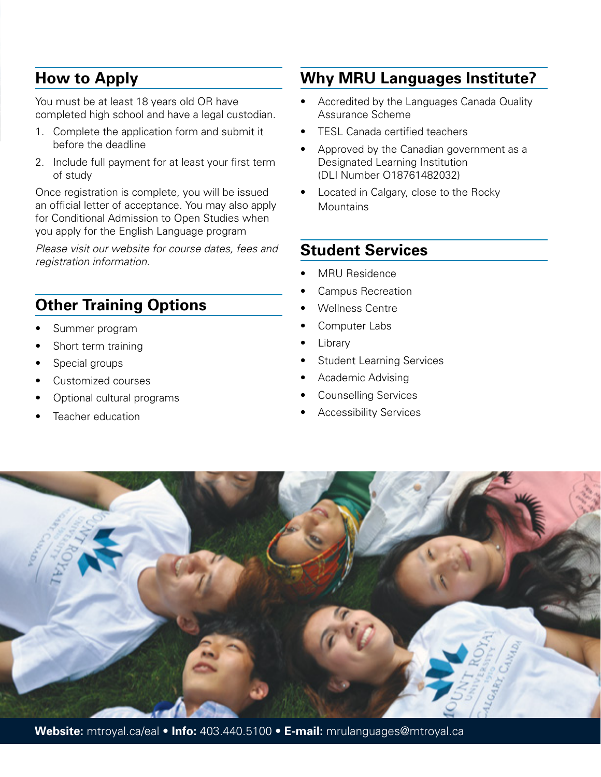## **How to Apply**

You must be at least 18 years old OR have completed high school and have a legal custodian.

- 1. Complete the application form and submit it before the deadline
- 2. Include full payment for at least your first term of study

Once registration is complete, you will be issued an official letter of acceptance. You may also apply for Conditional Admission to Open Studies when you apply for the English Language program

*Please visit our website for course dates, fees and registration information.*

# **Other Training Options**

- Summer program
- Short term training
- Special groups
- Customized courses
- Optional cultural programs
- Teacher education

# **Why MRU Languages Institute?**

- Accredited by the Languages Canada Quality Assurance Scheme
- TESL Canada certified teachers
- Approved by the Canadian government as a Designated Learning Institution (DLI Number O18761482032)
- Located in Calgary, close to the Rocky **Mountains**

## **Student Services**

- MRU Residence
- Campus Recreation
- Wellness Centre
- Computer Labs
- **Library**
- **Student Learning Services**
- Academic Advising
- Counselling Services
- Accessibility Services